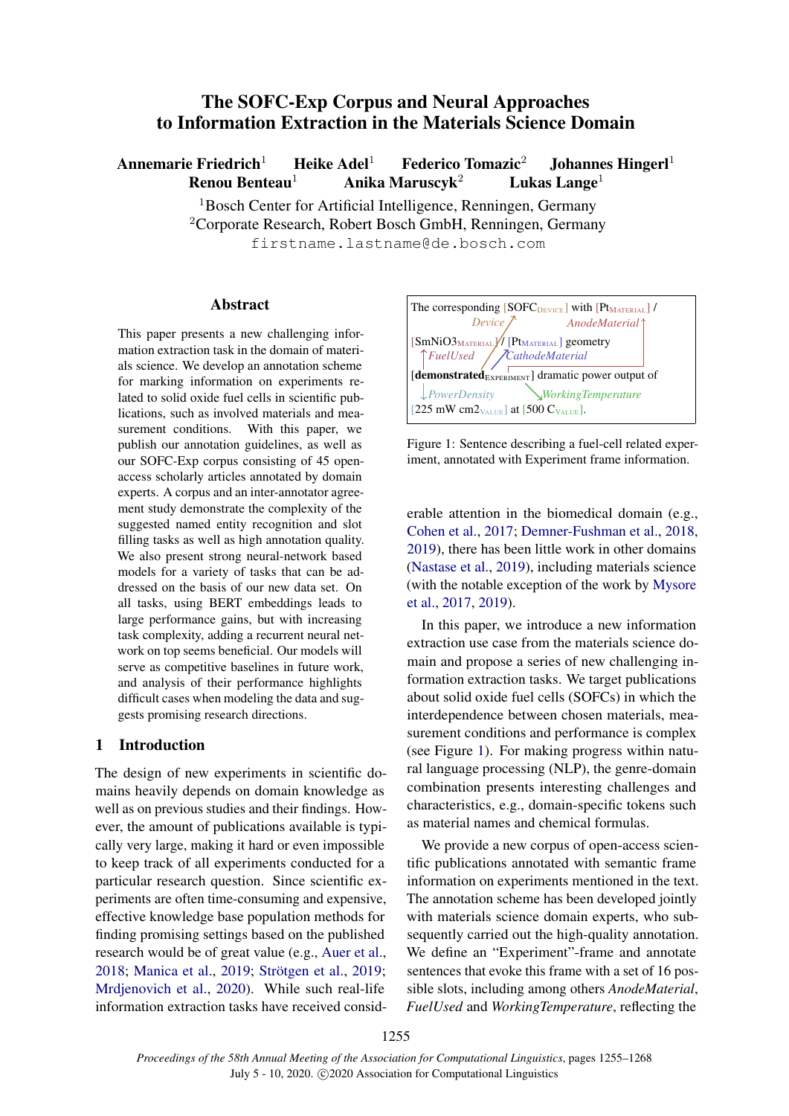# The SOFC-Exp Corpus and Neural Approaches to Information Extraction in the Materials Science Domain

Annemarie Friedrich<sup>1</sup> Heike Adel<sup>1</sup> Federico Tomazic<sup>2</sup> Johannes Hingerl<sup>1</sup> Renou Benteau<sup>1</sup> Anika Maruscyk<sup>2</sup> Lukas Lange<sup>1</sup>

> <sup>1</sup>Bosch Center for Artificial Intelligence, Renningen, Germany <sup>2</sup>Corporate Research, Robert Bosch GmbH, Renningen, Germany firstname.lastname@de.bosch.com

### Abstract

This paper presents a new challenging information extraction task in the domain of materials science. We develop an annotation scheme for marking information on experiments related to solid oxide fuel cells in scientific publications, such as involved materials and measurement conditions. With this paper, we publish our annotation guidelines, as well as our SOFC-Exp corpus consisting of 45 openaccess scholarly articles annotated by domain experts. A corpus and an inter-annotator agreement study demonstrate the complexity of the suggested named entity recognition and slot filling tasks as well as high annotation quality. We also present strong neural-network based models for a variety of tasks that can be addressed on the basis of our new data set. On all tasks, using BERT embeddings leads to large performance gains, but with increasing task complexity, adding a recurrent neural network on top seems beneficial. Our models will serve as competitive baselines in future work, and analysis of their performance highlights difficult cases when modeling the data and suggests promising research directions.

# 1 Introduction

The design of new experiments in scientific domains heavily depends on domain knowledge as well as on previous studies and their findings. However, the amount of publications available is typically very large, making it hard or even impossible to keep track of all experiments conducted for a particular research question. Since scientific experiments are often time-consuming and expensive, effective knowledge base population methods for finding promising settings based on the published research would be of great value (e.g., [Auer et al.,](#page-8-0) [2018;](#page-8-0) [Manica et al.,](#page-10-0) [2019;](#page-10-1) Strötgen et al., 2019; [Mrdjenovich et al.,](#page-10-2) [2020\)](#page-10-2). While such real-life information extraction tasks have received consid-

<span id="page-0-0"></span>

Figure 1: Sentence describing a fuel-cell related experiment, annotated with Experiment frame information.

erable attention in the biomedical domain (e.g., [Cohen et al.,](#page-9-0) [2017;](#page-9-0) [Demner-Fushman et al.,](#page-9-1) [2018,](#page-9-1) [2019\)](#page-9-2), there has been little work in other domains [\(Nastase et al.,](#page-10-3) [2019\)](#page-10-3), including materials science (with the notable exception of the work by [Mysore](#page-10-4) [et al.,](#page-10-4) [2017,](#page-10-4) [2019\)](#page-10-5).

In this paper, we introduce a new information extraction use case from the materials science domain and propose a series of new challenging information extraction tasks. We target publications about solid oxide fuel cells (SOFCs) in which the interdependence between chosen materials, measurement conditions and performance is complex (see Figure [1\)](#page-0-0). For making progress within natural language processing (NLP), the genre-domain combination presents interesting challenges and characteristics, e.g., domain-specific tokens such as material names and chemical formulas.

We provide a new corpus of open-access scientific publications annotated with semantic frame information on experiments mentioned in the text. The annotation scheme has been developed jointly with materials science domain experts, who subsequently carried out the high-quality annotation. We define an "Experiment"-frame and annotate sentences that evoke this frame with a set of 16 possible slots, including among others *AnodeMaterial*, *FuelUsed* and *WorkingTemperature*, reflecting the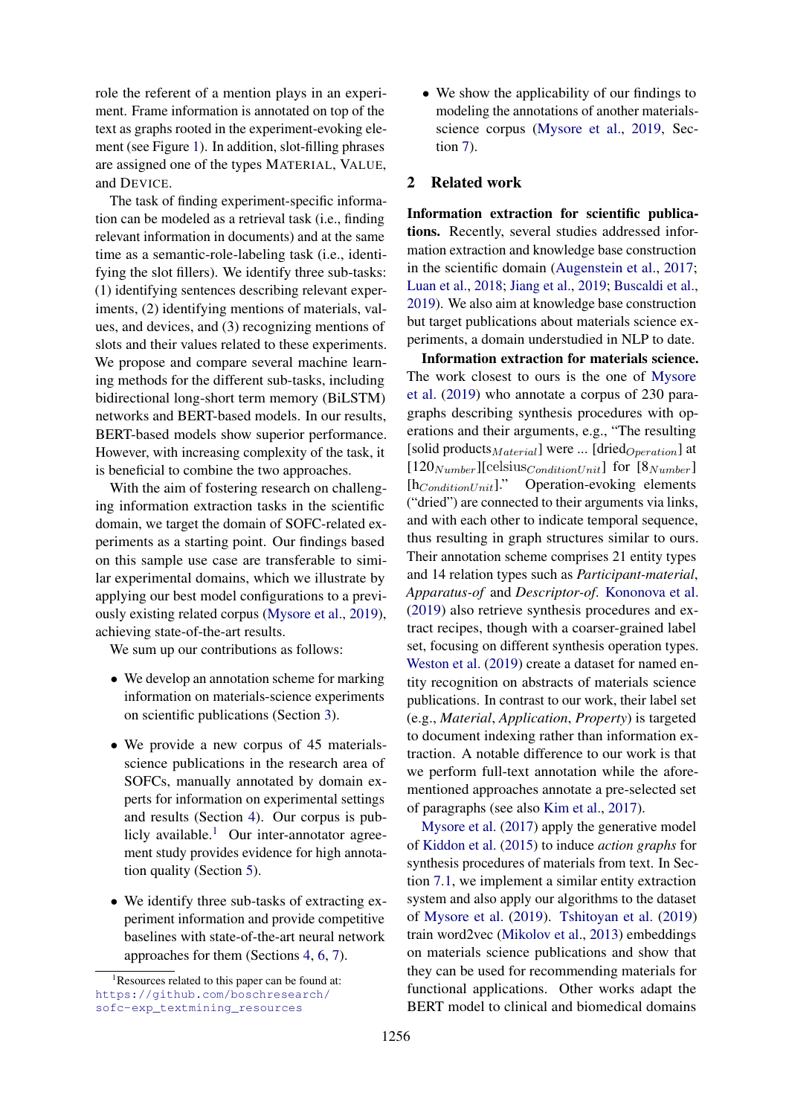role the referent of a mention plays in an experiment. Frame information is annotated on top of the text as graphs rooted in the experiment-evoking element (see Figure [1\)](#page-0-0). In addition, slot-filling phrases are assigned one of the types MATERIAL, VALUE, and DEVICE.

The task of finding experiment-specific information can be modeled as a retrieval task (i.e., finding relevant information in documents) and at the same time as a semantic-role-labeling task (i.e., identifying the slot fillers). We identify three sub-tasks: (1) identifying sentences describing relevant experiments, (2) identifying mentions of materials, values, and devices, and (3) recognizing mentions of slots and their values related to these experiments. We propose and compare several machine learning methods for the different sub-tasks, including bidirectional long-short term memory (BiLSTM) networks and BERT-based models. In our results, BERT-based models show superior performance. However, with increasing complexity of the task, it is beneficial to combine the two approaches.

With the aim of fostering research on challenging information extraction tasks in the scientific domain, we target the domain of SOFC-related experiments as a starting point. Our findings based on this sample use case are transferable to similar experimental domains, which we illustrate by applying our best model configurations to a previously existing related corpus [\(Mysore et al.,](#page-10-5) [2019\)](#page-10-5), achieving state-of-the-art results.

We sum up our contributions as follows:

- We develop an annotation scheme for marking information on materials-science experiments on scientific publications (Section [3\)](#page-2-0).
- We provide a new corpus of 45 materialsscience publications in the research area of SOFCs, manually annotated by domain experts for information on experimental settings and results (Section [4\)](#page-3-0). Our corpus is pub-licly available.<sup>[1](#page-1-0)</sup> Our inter-annotator agreement study provides evidence for high annotation quality (Section [5\)](#page-3-1).
- We identify three sub-tasks of extracting experiment information and provide competitive baselines with state-of-the-art neural network approaches for them (Sections [4,](#page-3-0) [6,](#page-4-0) [7\)](#page-5-0).

• We show the applicability of our findings to modeling the annotations of another materialsscience corpus [\(Mysore et al.,](#page-10-5) [2019,](#page-10-5) Section [7\)](#page-5-0).

### <span id="page-1-1"></span>2 Related work

Information extraction for scientific publications. Recently, several studies addressed information extraction and knowledge base construction in the scientific domain [\(Augenstein et al.,](#page-8-1) [2017;](#page-8-1) [Luan et al.,](#page-10-6) [2018;](#page-10-6) [Jiang et al.,](#page-9-3) [2019;](#page-9-3) [Buscaldi et al.,](#page-8-2) [2019\)](#page-8-2). We also aim at knowledge base construction but target publications about materials science experiments, a domain understudied in NLP to date.

Information extraction for materials science. The work closest to ours is the one of [Mysore](#page-10-5) [et al.](#page-10-5) [\(2019\)](#page-10-5) who annotate a corpus of 230 paragraphs describing synthesis procedures with operations and their arguments, e.g., "The resulting [solid products $_{Material}$ ] were ... [dried $_{Operation}$ ] at  $[120_{Number}]$ [celsius<sub>ConditionUnit</sub>] for [8<sub>Number</sub>]  $[h_{ConditionUnit}]$ ." Operation-evoking elements ("dried") are connected to their arguments via links, and with each other to indicate temporal sequence, thus resulting in graph structures similar to ours. Their annotation scheme comprises 21 entity types and 14 relation types such as *Participant-material*, *Apparatus-of* and *Descriptor-of*. [Kononova et al.](#page-9-4) [\(2019\)](#page-9-4) also retrieve synthesis procedures and extract recipes, though with a coarser-grained label set, focusing on different synthesis operation types. [Weston et al.](#page-10-7) [\(2019\)](#page-10-7) create a dataset for named entity recognition on abstracts of materials science publications. In contrast to our work, their label set (e.g., *Material*, *Application*, *Property*) is targeted to document indexing rather than information extraction. A notable difference to our work is that we perform full-text annotation while the aforementioned approaches annotate a pre-selected set of paragraphs (see also [Kim et al.,](#page-9-5) [2017\)](#page-9-5).

[Mysore et al.](#page-10-4) [\(2017\)](#page-10-4) apply the generative model of [Kiddon et al.](#page-9-6) [\(2015\)](#page-9-6) to induce *action graphs* for synthesis procedures of materials from text. In Section [7.1,](#page-7-0) we implement a similar entity extraction system and also apply our algorithms to the dataset of [Mysore et al.](#page-10-5) [\(2019\)](#page-10-5). [Tshitoyan et al.](#page-10-8) [\(2019\)](#page-10-8) train word2vec [\(Mikolov et al.,](#page-10-9) [2013\)](#page-10-9) embeddings on materials science publications and show that they can be used for recommending materials for functional applications. Other works adapt the BERT model to clinical and biomedical domains

<span id="page-1-0"></span> ${}^{1}$ Resources related to this paper can be found at: [https://github.com/boschresearch/](https://github.com/boschresearch/sofc-exp_textmining_resources) [sofc-exp\\_textmining\\_resources](https://github.com/boschresearch/sofc-exp_textmining_resources)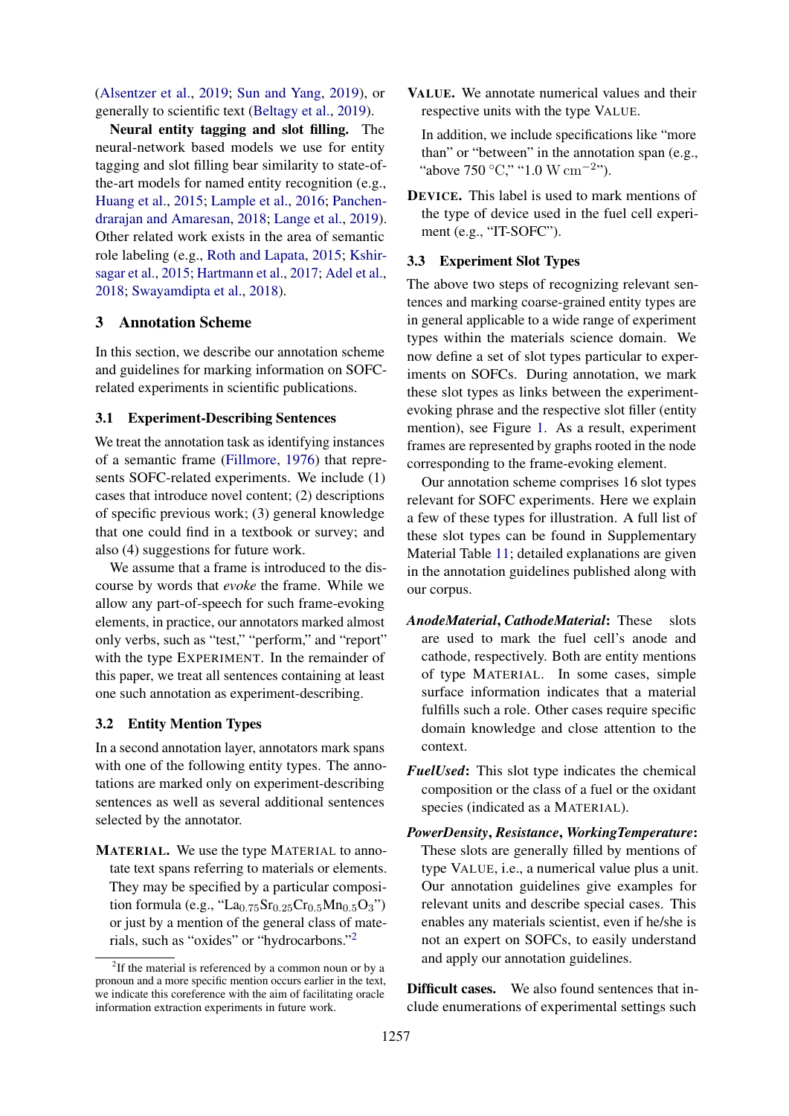[\(Alsentzer et al.,](#page-8-3) [2019;](#page-8-3) [Sun and Yang,](#page-10-10) [2019\)](#page-10-10), or generally to scientific text [\(Beltagy et al.,](#page-8-4) [2019\)](#page-8-4).

Neural entity tagging and slot filling. The neural-network based models we use for entity tagging and slot filling bear similarity to state-ofthe-art models for named entity recognition (e.g., [Huang et al.,](#page-9-7) [2015;](#page-9-7) [Lample et al.,](#page-9-8) [2016;](#page-9-8) [Panchen](#page-10-11)[drarajan and Amaresan,](#page-10-11) [2018;](#page-10-11) [Lange et al.,](#page-9-9) [2019\)](#page-9-9). Other related work exists in the area of semantic role labeling (e.g., [Roth and Lapata,](#page-10-12) [2015;](#page-10-12) [Kshir](#page-9-10)[sagar et al.,](#page-9-10) [2015;](#page-9-10) [Hartmann et al.,](#page-9-11) [2017;](#page-9-11) [Adel et al.,](#page-8-5) [2018;](#page-8-5) [Swayamdipta et al.,](#page-10-13) [2018\)](#page-10-13).

#### <span id="page-2-0"></span>3 Annotation Scheme

In this section, we describe our annotation scheme and guidelines for marking information on SOFCrelated experiments in scientific publications.

#### 3.1 Experiment-Describing Sentences

We treat the annotation task as identifying instances of a semantic frame [\(Fillmore,](#page-9-12) [1976\)](#page-9-12) that represents SOFC-related experiments. We include (1) cases that introduce novel content; (2) descriptions of specific previous work; (3) general knowledge that one could find in a textbook or survey; and also (4) suggestions for future work.

We assume that a frame is introduced to the discourse by words that *evoke* the frame. While we allow any part-of-speech for such frame-evoking elements, in practice, our annotators marked almost only verbs, such as "test," "perform," and "report" with the type EXPERIMENT. In the remainder of this paper, we treat all sentences containing at least one such annotation as experiment-describing.

#### 3.2 Entity Mention Types

In a second annotation layer, annotators mark spans with one of the following entity types. The annotations are marked only on experiment-describing sentences as well as several additional sentences selected by the annotator.

MATERIAL. We use the type MATERIAL to annotate text spans referring to materials or elements. They may be specified by a particular composition formula (e.g., "La $_{0.75}Sr_{0.25}Cr_{0.5}Mn_{0.5}O_3$ ") or just by a mention of the general class of materials, such as "oxides" or "hydrocarbons."[2](#page-2-1)

VALUE. We annotate numerical values and their respective units with the type VALUE.

In addition, we include specifications like "more than" or "between" in the annotation span (e.g., "above 750 °C," "1.0 W cm<sup>-2</sup>").

DEVICE. This label is used to mark mentions of the type of device used in the fuel cell experiment (e.g., "IT-SOFC").

#### 3.3 Experiment Slot Types

The above two steps of recognizing relevant sentences and marking coarse-grained entity types are in general applicable to a wide range of experiment types within the materials science domain. We now define a set of slot types particular to experiments on SOFCs. During annotation, we mark these slot types as links between the experimentevoking phrase and the respective slot filler (entity mention), see Figure [1.](#page-0-0) As a result, experiment frames are represented by graphs rooted in the node corresponding to the frame-evoking element.

Our annotation scheme comprises 16 slot types relevant for SOFC experiments. Here we explain a few of these types for illustration. A full list of these slot types can be found in Supplementary Material Table [11;](#page-12-0) detailed explanations are given in the annotation guidelines published along with our corpus.

- *AnodeMaterial*, *CathodeMaterial*: These slots are used to mark the fuel cell's anode and cathode, respectively. Both are entity mentions of type MATERIAL. In some cases, simple surface information indicates that a material fulfills such a role. Other cases require specific domain knowledge and close attention to the context.
- *FuelUsed*: This slot type indicates the chemical composition or the class of a fuel or the oxidant species (indicated as a MATERIAL).
- *PowerDensity*, *Resistance*, *WorkingTemperature*: These slots are generally filled by mentions of type VALUE, i.e., a numerical value plus a unit. Our annotation guidelines give examples for relevant units and describe special cases. This enables any materials scientist, even if he/she is not an expert on SOFCs, to easily understand and apply our annotation guidelines.

Difficult cases. We also found sentences that include enumerations of experimental settings such

<span id="page-2-1"></span> $2$ If the material is referenced by a common noun or by a pronoun and a more specific mention occurs earlier in the text, we indicate this coreference with the aim of facilitating oracle information extraction experiments in future work.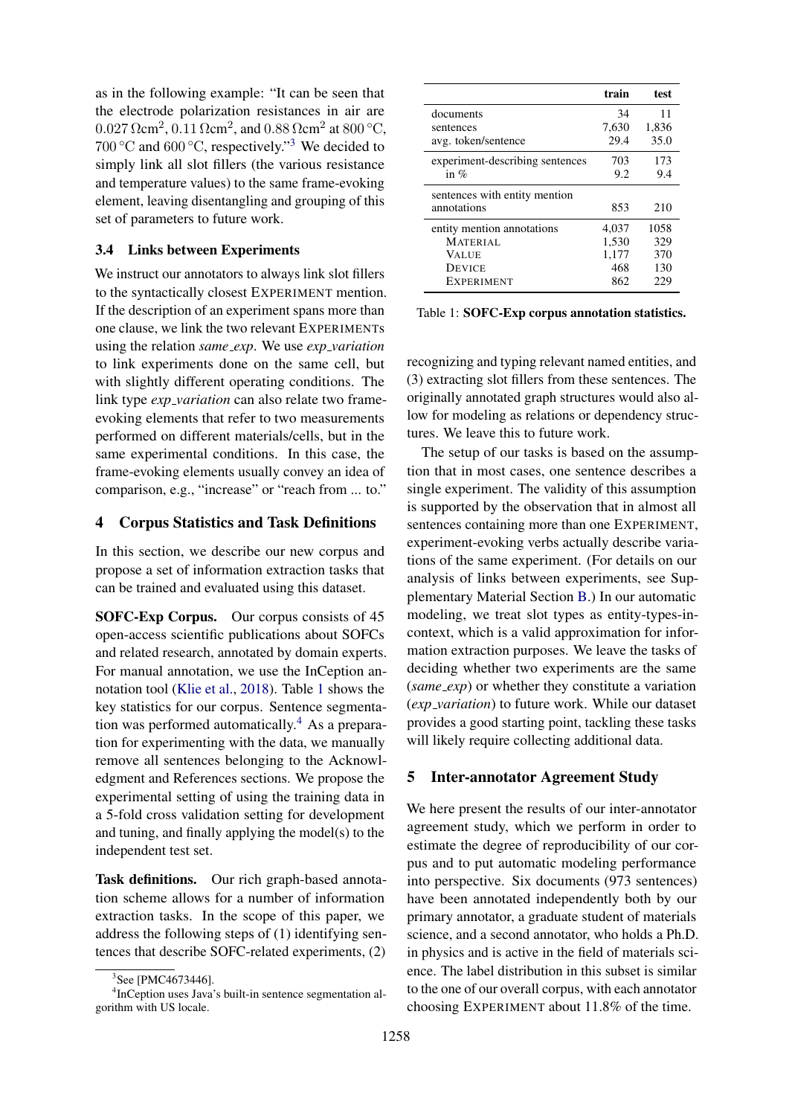as in the following example: "It can be seen that the electrode polarization resistances in air are  $0.027$   $\Omega$ cm<sup>2</sup>,  $0.11$   $\Omega$ cm<sup>2</sup>, and  $0.88$   $\Omega$ cm<sup>2</sup> at  $800$  °C, 700 °C and 600 °C, respectively."<sup>[3](#page-3-2)</sup> We decided to simply link all slot fillers (the various resistance and temperature values) to the same frame-evoking element, leaving disentangling and grouping of this set of parameters to future work.

#### 3.4 Links between Experiments

We instruct our annotators to always link slot fillers to the syntactically closest EXPERIMENT mention. If the description of an experiment spans more than one clause, we link the two relevant EXPERIMENTs using the relation *same exp*. We use *exp variation* to link experiments done on the same cell, but with slightly different operating conditions. The link type *exp variation* can also relate two frameevoking elements that refer to two measurements performed on different materials/cells, but in the same experimental conditions. In this case, the frame-evoking elements usually convey an idea of comparison, e.g., "increase" or "reach from ... to."

#### <span id="page-3-0"></span>4 Corpus Statistics and Task Definitions

In this section, we describe our new corpus and propose a set of information extraction tasks that can be trained and evaluated using this dataset.

SOFC-Exp Corpus. Our corpus consists of 45 open-access scientific publications about SOFCs and related research, annotated by domain experts. For manual annotation, we use the InCeption annotation tool [\(Klie et al.,](#page-9-13) [2018\)](#page-9-13). Table [1](#page-3-3) shows the key statistics for our corpus. Sentence segmentation was performed automatically.[4](#page-3-4) As a preparation for experimenting with the data, we manually remove all sentences belonging to the Acknowledgment and References sections. We propose the experimental setting of using the training data in a 5-fold cross validation setting for development and tuning, and finally applying the model(s) to the independent test set.

Task definitions. Our rich graph-based annotation scheme allows for a number of information extraction tasks. In the scope of this paper, we address the following steps of (1) identifying sentences that describe SOFC-related experiments, (2)

<span id="page-3-3"></span>

|                                              | train | test  |
|----------------------------------------------|-------|-------|
| documents                                    | 34    | 11    |
| sentences                                    | 7,630 | 1,836 |
| avg. token/sentence                          | 29.4  | 35.0  |
| experiment-describing sentences              | 703   | 173   |
| in $%$                                       | 9.2   | 9.4   |
| sentences with entity mention<br>annotations | 853   | 210   |
| entity mention annotations                   | 4,037 | 1058  |
| MATERIAL                                     | 1,530 | 329   |
| <b>VALUE</b>                                 | 1,177 | 370   |
| <b>DEVICE</b>                                | 468   | 130   |
| <b>EXPERIMENT</b>                            | 862   | 229   |

Table 1: SOFC-Exp corpus annotation statistics.

recognizing and typing relevant named entities, and (3) extracting slot fillers from these sentences. The originally annotated graph structures would also allow for modeling as relations or dependency structures. We leave this to future work.

The setup of our tasks is based on the assumption that in most cases, one sentence describes a single experiment. The validity of this assumption is supported by the observation that in almost all sentences containing more than one EXPERIMENT, experiment-evoking verbs actually describe variations of the same experiment. (For details on our analysis of links between experiments, see Supplementary Material Section [B.](#page-11-0)) In our automatic modeling, we treat slot types as entity-types-incontext, which is a valid approximation for information extraction purposes. We leave the tasks of deciding whether two experiments are the same (*same exp*) or whether they constitute a variation (*exp variation*) to future work. While our dataset provides a good starting point, tackling these tasks will likely require collecting additional data.

#### <span id="page-3-1"></span>5 Inter-annotator Agreement Study

We here present the results of our inter-annotator agreement study, which we perform in order to estimate the degree of reproducibility of our corpus and to put automatic modeling performance into perspective. Six documents (973 sentences) have been annotated independently both by our primary annotator, a graduate student of materials science, and a second annotator, who holds a Ph.D. in physics and is active in the field of materials science. The label distribution in this subset is similar to the one of our overall corpus, with each annotator choosing EXPERIMENT about 11.8% of the time.

<span id="page-3-4"></span><span id="page-3-2"></span><sup>&</sup>lt;sup>3</sup>See [PMC4673446].

<sup>4</sup> InCeption uses Java's built-in sentence segmentation algorithm with US locale.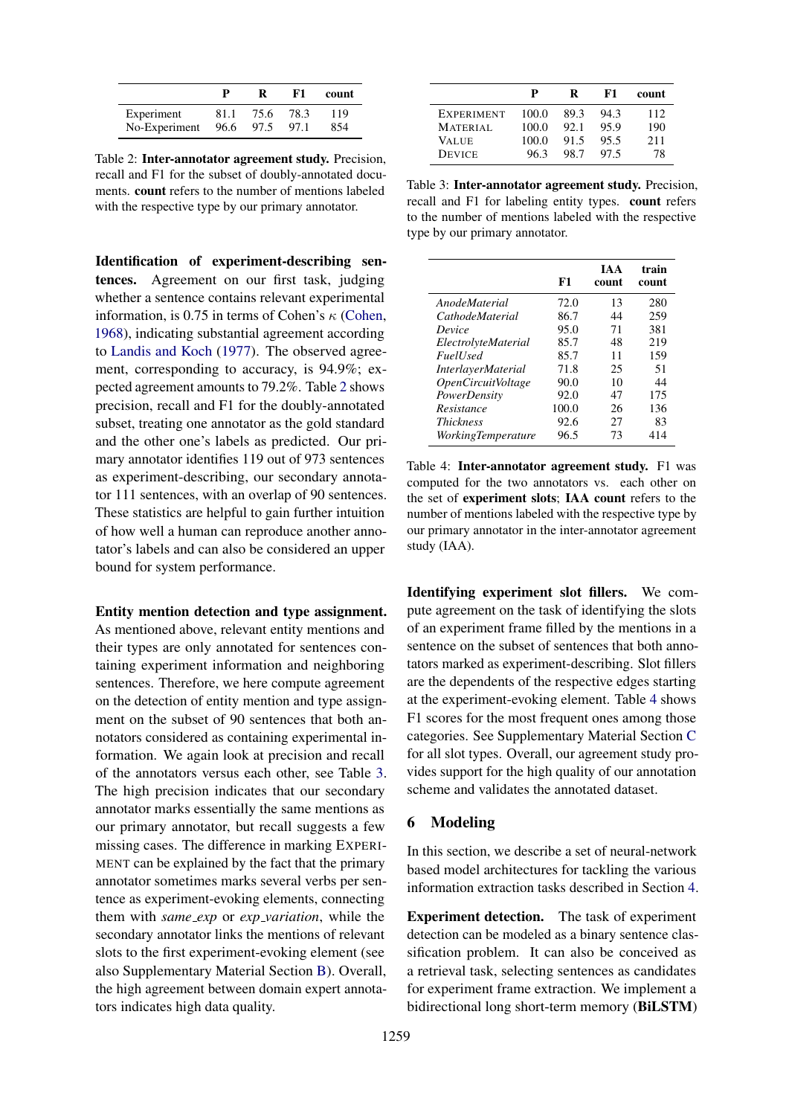<span id="page-4-1"></span>

|               | р    |      | F1.  | count |
|---------------|------|------|------|-------|
| Experiment    | 81.1 | 75.6 | 78.3 | 119   |
| No-Experiment | 96.6 | 97.5 | 97.1 | 854   |

Table 2: Inter-annotator agreement study. Precision, recall and F1 for the subset of doubly-annotated documents. count refers to the number of mentions labeled with the respective type by our primary annotator.

Identification of experiment-describing sentences. Agreement on our first task, judging whether a sentence contains relevant experimental information, is 0.75 in terms of Cohen's  $\kappa$  [\(Cohen,](#page-8-6) [1968\)](#page-8-6), indicating substantial agreement according to [Landis and Koch](#page-9-14) [\(1977\)](#page-9-14). The observed agreement, corresponding to accuracy, is 94.9%; expected agreement amounts to 79.2%. Table [2](#page-4-1) shows precision, recall and F1 for the doubly-annotated subset, treating one annotator as the gold standard and the other one's labels as predicted. Our primary annotator identifies 119 out of 973 sentences as experiment-describing, our secondary annotator 111 sentences, with an overlap of 90 sentences. These statistics are helpful to gain further intuition of how well a human can reproduce another annotator's labels and can also be considered an upper bound for system performance.

#### Entity mention detection and type assignment.

As mentioned above, relevant entity mentions and their types are only annotated for sentences containing experiment information and neighboring sentences. Therefore, we here compute agreement on the detection of entity mention and type assignment on the subset of 90 sentences that both annotators considered as containing experimental information. We again look at precision and recall of the annotators versus each other, see Table [3.](#page-4-2) The high precision indicates that our secondary annotator marks essentially the same mentions as our primary annotator, but recall suggests a few missing cases. The difference in marking EXPERI-MENT can be explained by the fact that the primary annotator sometimes marks several verbs per sentence as experiment-evoking elements, connecting them with *same exp* or *exp variation*, while the secondary annotator links the mentions of relevant slots to the first experiment-evoking element (see also Supplementary Material Section [B\)](#page-11-0). Overall, the high agreement between domain expert annotators indicates high data quality.

<span id="page-4-2"></span>

|                   | P     | R    | F1   | count |
|-------------------|-------|------|------|-------|
| <b>EXPERIMENT</b> | 100.0 | 89.3 | 94.3 | 112   |
| <b>MATERIAL</b>   | 100.0 | 92.1 | 95.9 | 190   |
| VALUE             | 100.0 | 91.5 | 95.5 | 211   |
| <b>DEVICE</b>     | 963   | 98.7 | 97.5 | 78    |

Table 3: Inter-annotator agreement study. Precision, recall and F1 for labeling entity types. count refers to the number of mentions labeled with the respective type by our primary annotator.

<span id="page-4-3"></span>

|                           | F1    | TA A<br>count | train<br>count |
|---------------------------|-------|---------------|----------------|
| <i>AnodeMaterial</i>      | 72.0  | 13            | 280            |
| <i>CathodeMaterial</i>    | 86.7  | 44            | 259            |
| Device                    | 95.0  | 71            | 381            |
| ElectrolyteMaterial       | 85.7  | 48            | 219            |
| <i>Fuell</i> sed          | 85.7  | 11            | 159            |
| <i>InterlayerMaterial</i> | 71.8  | 25            | 51             |
| OpenCircuitVoltage        | 90.0  | 10            | 44             |
| PowerDensity              | 92.0  | 47            | 175            |
| Resistance                | 100.0 | 26            | 136            |
| <i>Thickness</i>          | 92.6  | 27            | 83             |
| WorkingTemperature        | 96.5  | 73            | 414            |

Table 4: Inter-annotator agreement study. F1 was computed for the two annotators vs. each other on the set of experiment slots; IAA count refers to the number of mentions labeled with the respective type by our primary annotator in the inter-annotator agreement study (IAA).

Identifying experiment slot fillers. We compute agreement on the task of identifying the slots of an experiment frame filled by the mentions in a sentence on the subset of sentences that both annotators marked as experiment-describing. Slot fillers are the dependents of the respective edges starting at the experiment-evoking element. Table [4](#page-4-3) shows F1 scores for the most frequent ones among those categories. See Supplementary Material Section [C](#page-11-1) for all slot types. Overall, our agreement study provides support for the high quality of our annotation scheme and validates the annotated dataset.

### <span id="page-4-0"></span>6 Modeling

In this section, we describe a set of neural-network based model architectures for tackling the various information extraction tasks described in Section [4.](#page-3-0)

Experiment detection. The task of experiment detection can be modeled as a binary sentence classification problem. It can also be conceived as a retrieval task, selecting sentences as candidates for experiment frame extraction. We implement a bidirectional long short-term memory (BiLSTM)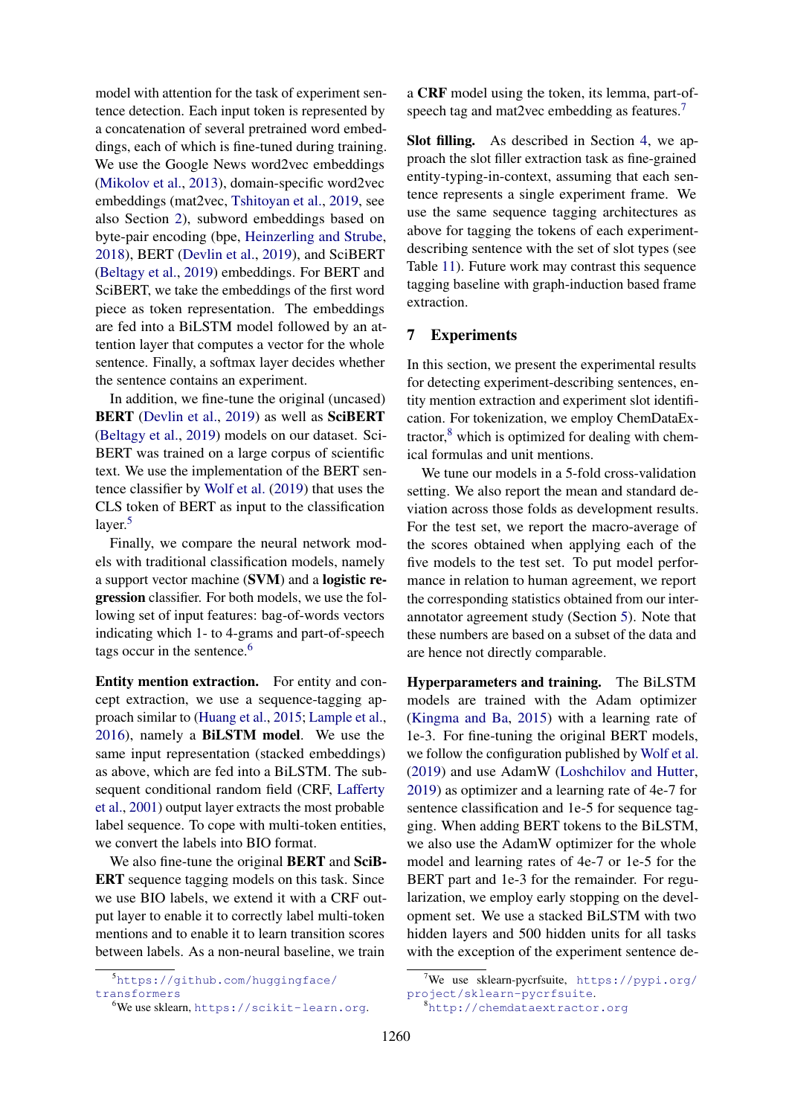model with attention for the task of experiment sentence detection. Each input token is represented by a concatenation of several pretrained word embeddings, each of which is fine-tuned during training. We use the Google News word2vec embeddings [\(Mikolov et al.,](#page-10-9) [2013\)](#page-10-9), domain-specific word2vec embeddings (mat2vec, [Tshitoyan et al.,](#page-10-8) [2019,](#page-10-8) see also Section [2\)](#page-1-1), subword embeddings based on byte-pair encoding (bpe, [Heinzerling and Strube,](#page-9-15) [2018\)](#page-9-15), BERT [\(Devlin et al.,](#page-9-16) [2019\)](#page-9-16), and SciBERT [\(Beltagy et al.,](#page-8-4) [2019\)](#page-8-4) embeddings. For BERT and SciBERT, we take the embeddings of the first word piece as token representation. The embeddings are fed into a BiLSTM model followed by an attention layer that computes a vector for the whole sentence. Finally, a softmax layer decides whether the sentence contains an experiment.

In addition, we fine-tune the original (uncased) BERT [\(Devlin et al.,](#page-9-16) [2019\)](#page-9-16) as well as SciBERT [\(Beltagy et al.,](#page-8-4) [2019\)](#page-8-4) models on our dataset. Sci-BERT was trained on a large corpus of scientific text. We use the implementation of the BERT sentence classifier by [Wolf et al.](#page-10-14) [\(2019\)](#page-10-14) that uses the CLS token of BERT as input to the classification layer.<sup>[5](#page-5-1)</sup>

Finally, we compare the neural network models with traditional classification models, namely a support vector machine (SVM) and a logistic regression classifier. For both models, we use the following set of input features: bag-of-words vectors indicating which 1- to 4-grams and part-of-speech tags occur in the sentence.<sup>[6](#page-5-2)</sup>

Entity mention extraction. For entity and concept extraction, we use a sequence-tagging approach similar to [\(Huang et al.,](#page-9-7) [2015;](#page-9-7) [Lample et al.,](#page-9-8) [2016\)](#page-9-8), namely a BiLSTM model. We use the same input representation (stacked embeddings) as above, which are fed into a BiLSTM. The subsequent conditional random field (CRF, [Lafferty](#page-9-17) [et al.,](#page-9-17) [2001\)](#page-9-17) output layer extracts the most probable label sequence. To cope with multi-token entities, we convert the labels into BIO format.

We also fine-tune the original **BERT** and **SciB-**ERT sequence tagging models on this task. Since we use BIO labels, we extend it with a CRF output layer to enable it to correctly label multi-token mentions and to enable it to learn transition scores between labels. As a non-neural baseline, we train

a CRF model using the token, its lemma, part-of-speech tag and mat2vec embedding as features.<sup>[7](#page-5-3)</sup>

Slot filling. As described in Section [4,](#page-3-0) we approach the slot filler extraction task as fine-grained entity-typing-in-context, assuming that each sentence represents a single experiment frame. We use the same sequence tagging architectures as above for tagging the tokens of each experimentdescribing sentence with the set of slot types (see Table [11\)](#page-12-0). Future work may contrast this sequence tagging baseline with graph-induction based frame extraction.

### <span id="page-5-0"></span>7 Experiments

In this section, we present the experimental results for detecting experiment-describing sentences, entity mention extraction and experiment slot identification. For tokenization, we employ ChemDataExtractor, $8$  which is optimized for dealing with chemical formulas and unit mentions.

We tune our models in a 5-fold cross-validation setting. We also report the mean and standard deviation across those folds as development results. For the test set, we report the macro-average of the scores obtained when applying each of the five models to the test set. To put model performance in relation to human agreement, we report the corresponding statistics obtained from our interannotator agreement study (Section [5\)](#page-3-1). Note that these numbers are based on a subset of the data and are hence not directly comparable.

Hyperparameters and training. The BiLSTM models are trained with the Adam optimizer [\(Kingma and Ba,](#page-9-18) [2015\)](#page-9-18) with a learning rate of 1e-3. For fine-tuning the original BERT models, we follow the configuration published by [Wolf et al.](#page-10-14) [\(2019\)](#page-10-14) and use AdamW [\(Loshchilov and Hutter,](#page-10-15) [2019\)](#page-10-15) as optimizer and a learning rate of 4e-7 for sentence classification and 1e-5 for sequence tagging. When adding BERT tokens to the BiLSTM, we also use the AdamW optimizer for the whole model and learning rates of 4e-7 or 1e-5 for the BERT part and 1e-3 for the remainder. For regularization, we employ early stopping on the development set. We use a stacked BiLSTM with two hidden layers and 500 hidden units for all tasks with the exception of the experiment sentence de-

<span id="page-5-1"></span><sup>5</sup>[https://github.com/huggingface/](https://github.com/huggingface/transformers) [transformers](https://github.com/huggingface/transformers)

<span id="page-5-2"></span><sup>6</sup>We use sklearn, <https://scikit-learn.org>.

<span id="page-5-3"></span><sup>&</sup>lt;sup>7</sup>We use sklearn-pycrfsuite, [https://pypi.org/](https://pypi.org/project/sklearn-pycrfsuite) [project/sklearn-pycrfsuite](https://pypi.org/project/sklearn-pycrfsuite).

<span id="page-5-4"></span><sup>8</sup><http://chemdataextractor.org>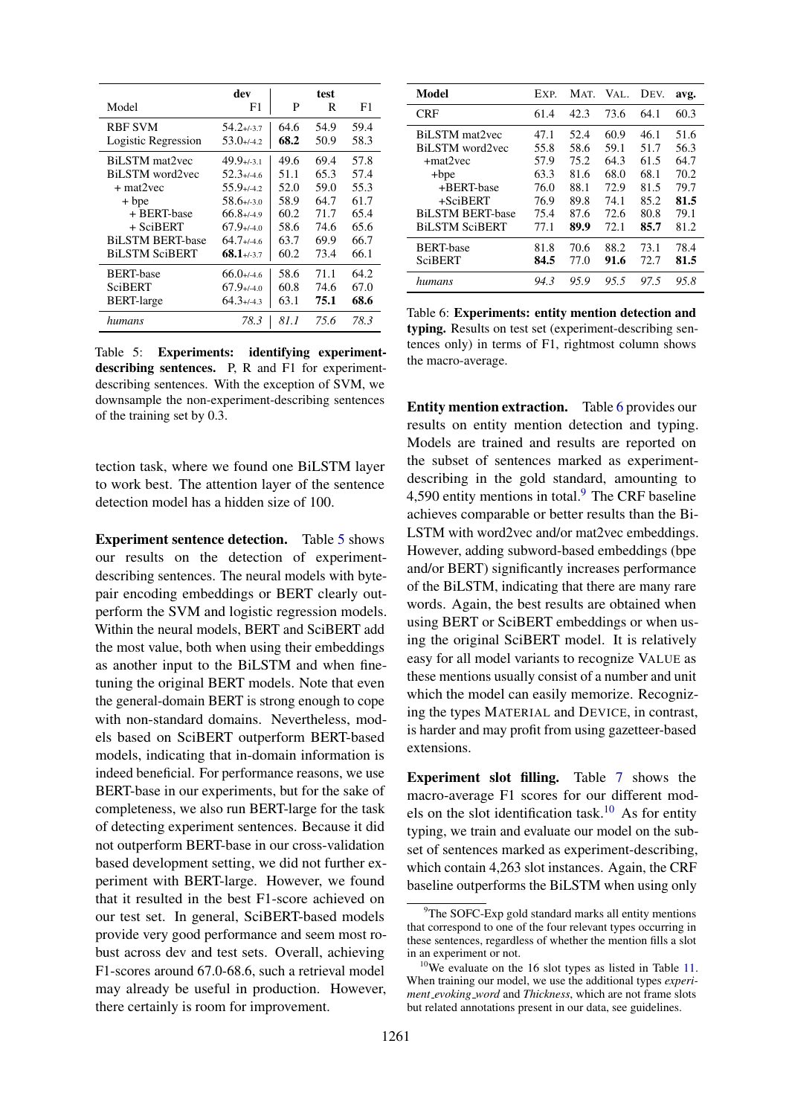<span id="page-6-0"></span>

|                         | dev             |      | test |      |
|-------------------------|-----------------|------|------|------|
| Model                   | F1              | P    | R    | F1   |
| <b>RBF SVM</b>          | $54.2 + 3.7$    | 64.6 | 54.9 | 59.4 |
| Logistic Regression     | $53.0 + (-4.2)$ | 68.2 | 50.9 | 58.3 |
| BiLSTM mat2yec          | $49.9+/-3.1$    | 49.6 | 69.4 | 57.8 |
| BiLSTM word2vec         | $52.3 + 4.6$    | 51.1 | 65.3 | 57.4 |
| + mat2vec               | $55.9 + 4.2$    | 52.0 | 59.0 | 55.3 |
| + bpe                   | $58.6 + (-3.0)$ | 58.9 | 64.7 | 61.7 |
| + BERT-base             | $66.8 + 49$     | 60.2 | 71.7 | 65.4 |
| $+$ SciBERT             | $67.9 + 4.0$    | 58.6 | 74.6 | 65.6 |
| <b>BiLSTM BERT-base</b> | $64.7 + 4.6$    | 63.7 | 69.9 | 66.7 |
| <b>BiLSTM SciBERT</b>   | $68.1 + (-3.7)$ | 60.2 | 73.4 | 66.1 |
| <b>BERT-base</b>        | $66.0 + (-4.6)$ | 58.6 | 71.1 | 64.2 |
| SciBERT                 | $67.9 + (-4.0)$ | 60.8 | 74.6 | 67.0 |
| <b>BERT-large</b>       | $64.3 + 4.3$    | 63.1 | 75.1 | 68.6 |
| humans                  | 78.3            | 81.1 | 75.6 | 78.3 |

Table 5: Experiments: identifying experimentdescribing sentences. P, R and F1 for experimentdescribing sentences. With the exception of SVM, we downsample the non-experiment-describing sentences of the training set by 0.3.

tection task, where we found one BiLSTM layer to work best. The attention layer of the sentence detection model has a hidden size of 100.

Experiment sentence detection. Table [5](#page-6-0) shows our results on the detection of experimentdescribing sentences. The neural models with bytepair encoding embeddings or BERT clearly outperform the SVM and logistic regression models. Within the neural models, BERT and SciBERT add the most value, both when using their embeddings as another input to the BiLSTM and when finetuning the original BERT models. Note that even the general-domain BERT is strong enough to cope with non-standard domains. Nevertheless, models based on SciBERT outperform BERT-based models, indicating that in-domain information is indeed beneficial. For performance reasons, we use BERT-base in our experiments, but for the sake of completeness, we also run BERT-large for the task of detecting experiment sentences. Because it did not outperform BERT-base in our cross-validation based development setting, we did not further experiment with BERT-large. However, we found that it resulted in the best F1-score achieved on our test set. In general, SciBERT-based models provide very good performance and seem most robust across dev and test sets. Overall, achieving F1-scores around 67.0-68.6, such a retrieval model may already be useful in production. However, there certainly is room for improvement.

<span id="page-6-1"></span>

| Model                   | EXP. | MAT. | VAL. | DEV. | avg. |
|-------------------------|------|------|------|------|------|
| <b>CRF</b>              | 61.4 | 42.3 | 73.6 | 64.1 | 60.3 |
| BiLSTM mat2yec          | 47.1 | 52.4 | 60.9 | 46.1 | 51.6 |
| BiLSTM word2vec         | 55.8 | 58.6 | 59.1 | 51.7 | 56.3 |
| $+ \text{mat2vec}$      | 57.9 | 75.2 | 64.3 | 61.5 | 64.7 |
| $+$ bpe                 | 63.3 | 81.6 | 68.0 | 68.1 | 70.2 |
| +BERT-base              | 76.0 | 88.1 | 72.9 | 81.5 | 79.7 |
| $+SciBERT$              | 76.9 | 89.8 | 74.1 | 85.2 | 81.5 |
| <b>BiLSTM BERT-base</b> | 75.4 | 87.6 | 72.6 | 80.8 | 79.1 |
| <b>BiLSTM SciBERT</b>   | 77.1 | 89.9 | 72.1 | 85.7 | 81.2 |
| <b>BERT-base</b>        | 81.8 | 70.6 | 88.2 | 73.1 | 78.4 |
| <b>SciBERT</b>          | 84.5 | 77.0 | 91.6 | 72.7 | 81.5 |
| humans                  | 94.3 | 95.9 | 95.5 | 97.5 | 95.8 |

Table 6: Experiments: entity mention detection and typing. Results on test set (experiment-describing sentences only) in terms of F1, rightmost column shows the macro-average.

Entity mention extraction. Table [6](#page-6-1) provides our results on entity mention detection and typing. Models are trained and results are reported on the subset of sentences marked as experimentdescribing in the gold standard, amounting to 4,5[9](#page-6-2)0 entity mentions in total. $9$  The CRF baseline achieves comparable or better results than the Bi-LSTM with word2vec and/or mat2vec embeddings. However, adding subword-based embeddings (bpe and/or BERT) significantly increases performance of the BiLSTM, indicating that there are many rare words. Again, the best results are obtained when using BERT or SciBERT embeddings or when using the original SciBERT model. It is relatively easy for all model variants to recognize VALUE as these mentions usually consist of a number and unit which the model can easily memorize. Recognizing the types MATERIAL and DEVICE, in contrast, is harder and may profit from using gazetteer-based extensions.

Experiment slot filling. Table [7](#page-7-1) shows the macro-average F1 scores for our different mod-els on the slot identification task.<sup>[10](#page-6-3)</sup> As for entity typing, we train and evaluate our model on the subset of sentences marked as experiment-describing, which contain 4,263 slot instances. Again, the CRF baseline outperforms the BiLSTM when using only

<span id="page-6-2"></span><sup>&</sup>lt;sup>9</sup>The SOFC-Exp gold standard marks all entity mentions that correspond to one of the four relevant types occurring in these sentences, regardless of whether the mention fills a slot in an experiment or not.

<span id="page-6-3"></span> $10$ We evaluate on the 16 slot types as listed in Table [11.](#page-12-0) When training our model, we use the additional types *experiment evoking word* and *Thickness*, which are not frame slots but related annotations present in our data, see guidelines.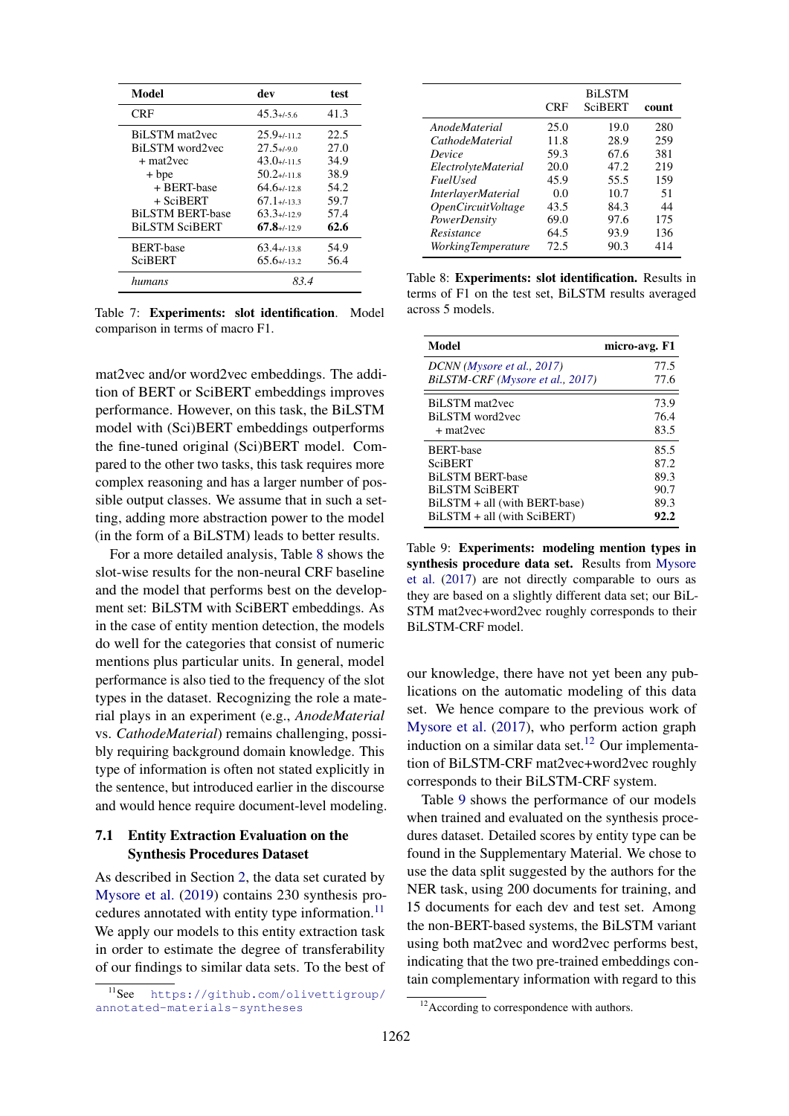<span id="page-7-1"></span>

| Model                   | dev              | test |
|-------------------------|------------------|------|
| <b>CRF</b>              | $45.3 + 5.6$     | 41.3 |
| BiLSTM mat2yec          | $25.9 + 11.2$    | 22.5 |
| BiLSTM word2yec         | $27.5 + 1.90$    | 27.0 |
| $+$ mat $2$ vec         | $43.0 + 11.5$    | 34.9 |
| + bpe                   | $50.2 + 11.8$    | 38.9 |
| + BERT-base             | $64.6 + 12.8$    | 54.2 |
| $+$ SciBERT             | $67.1 + (-13.3)$ | 59.7 |
| <b>BiLSTM BERT-base</b> | $63.3+112.9$     | 57.4 |
| <b>BiLSTM SciBERT</b>   | $67.8 + 129$     | 62.6 |
| <b>BERT-base</b>        | $63.4 + 13.8$    | 54.9 |
| <b>SciBERT</b>          | $65.6 + (-13.2)$ | 56.4 |
| humans                  | 83.4             |      |

Table 7: Experiments: slot identification. Model comparison in terms of macro F1.

mat2vec and/or word2vec embeddings. The addition of BERT or SciBERT embeddings improves performance. However, on this task, the BiLSTM model with (Sci)BERT embeddings outperforms the fine-tuned original (Sci)BERT model. Compared to the other two tasks, this task requires more complex reasoning and has a larger number of possible output classes. We assume that in such a setting, adding more abstraction power to the model (in the form of a BiLSTM) leads to better results.

For a more detailed analysis, Table [8](#page-7-2) shows the slot-wise results for the non-neural CRF baseline and the model that performs best on the development set: BiLSTM with SciBERT embeddings. As in the case of entity mention detection, the models do well for the categories that consist of numeric mentions plus particular units. In general, model performance is also tied to the frequency of the slot types in the dataset. Recognizing the role a material plays in an experiment (e.g., *AnodeMaterial* vs. *CathodeMaterial*) remains challenging, possibly requiring background domain knowledge. This type of information is often not stated explicitly in the sentence, but introduced earlier in the discourse and would hence require document-level modeling.

## <span id="page-7-0"></span>7.1 Entity Extraction Evaluation on the Synthesis Procedures Dataset

As described in Section [2,](#page-1-1) the data set curated by [Mysore et al.](#page-10-5) [\(2019\)](#page-10-5) contains 230 synthesis procedures annotated with entity type information. $^{11}$  $^{11}$  $^{11}$ We apply our models to this entity extraction task in order to estimate the degree of transferability of our findings to similar data sets. To the best of

<span id="page-7-2"></span>

|                                  | <b>CRF</b> | <b>BiLSTM</b><br>SciBERT | count |
|----------------------------------|------------|--------------------------|-------|
| AnodeMaterial                    | 25.0       | 19.0                     | 280   |
| <i>CathodeMaterial</i>           | 11.8       | 28.9                     | 259   |
| Device                           | 59.3       | 67.6                     | 381   |
| ElectrolyteMaterial              | 20.0       | 47.2                     | 219   |
| <i>Fuell</i> sed                 | 45.9       | 55.5                     | 159   |
| <i>InterlayerMaterial</i>        | 0.0        | 10.7                     | 51    |
| <i><b>OpenCircuitVoltage</b></i> | 43.5       | 84.3                     | 44    |
| PowerDensity                     | 69.0       | 97.6                     | 175   |
| Resistance                       | 64.5       | 93.9                     | 136   |
| <i>WorkingTemperature</i>        | 72.5       | 90.3                     | 414   |

Table 8: Experiments: slot identification. Results in terms of F1 on the test set, BiLSTM results averaged across 5 models.

<span id="page-7-5"></span>

| Model                            | micro-avg. F1 |
|----------------------------------|---------------|
| DCNN (Mysore et al., 2017)       | 77.5          |
| BiLSTM-CRF (Mysore et al., 2017) | 77.6          |
| BiLSTM mat2yec                   | 73.9          |
| BiLSTM word2vec                  | 76.4          |
| $+$ mat2vec                      | 83.5          |
| <b>BERT-base</b>                 | 85.5          |
| <b>SciBERT</b>                   | 87.2          |
| <b>BiLSTM BERT-base</b>          | 89.3          |
| <b>BILSTM SciBERT</b>            | 90.7          |
| BiLSTM + all (with BERT-base)    | 89.3          |
| BiLSTM + all (with SciBERT)      | 92.2          |

Table 9: Experiments: modeling mention types in synthesis procedure data set. Results from [Mysore](#page-10-4) [et al.](#page-10-4) [\(2017\)](#page-10-4) are not directly comparable to ours as they are based on a slightly different data set; our BiL-STM mat2vec+word2vec roughly corresponds to their BiLSTM-CRF model.

our knowledge, there have not yet been any publications on the automatic modeling of this data set. We hence compare to the previous work of [Mysore et al.](#page-10-4) [\(2017\)](#page-10-4), who perform action graph induction on a similar data set.<sup>[12](#page-7-4)</sup> Our implementation of BiLSTM-CRF mat2vec+word2vec roughly corresponds to their BiLSTM-CRF system.

Table [9](#page-7-5) shows the performance of our models when trained and evaluated on the synthesis procedures dataset. Detailed scores by entity type can be found in the Supplementary Material. We chose to use the data split suggested by the authors for the NER task, using 200 documents for training, and 15 documents for each dev and test set. Among the non-BERT-based systems, the BiLSTM variant using both mat2vec and word2vec performs best, indicating that the two pre-trained embeddings contain complementary information with regard to this

<span id="page-7-3"></span><sup>11</sup>See [https://github.com/olivettigroup/](https://github.com/olivettigroup/annotated-materials-syntheses) [annotated-materials-syntheses](https://github.com/olivettigroup/annotated-materials-syntheses)

<span id="page-7-4"></span><sup>&</sup>lt;sup>12</sup> According to correspondence with authors.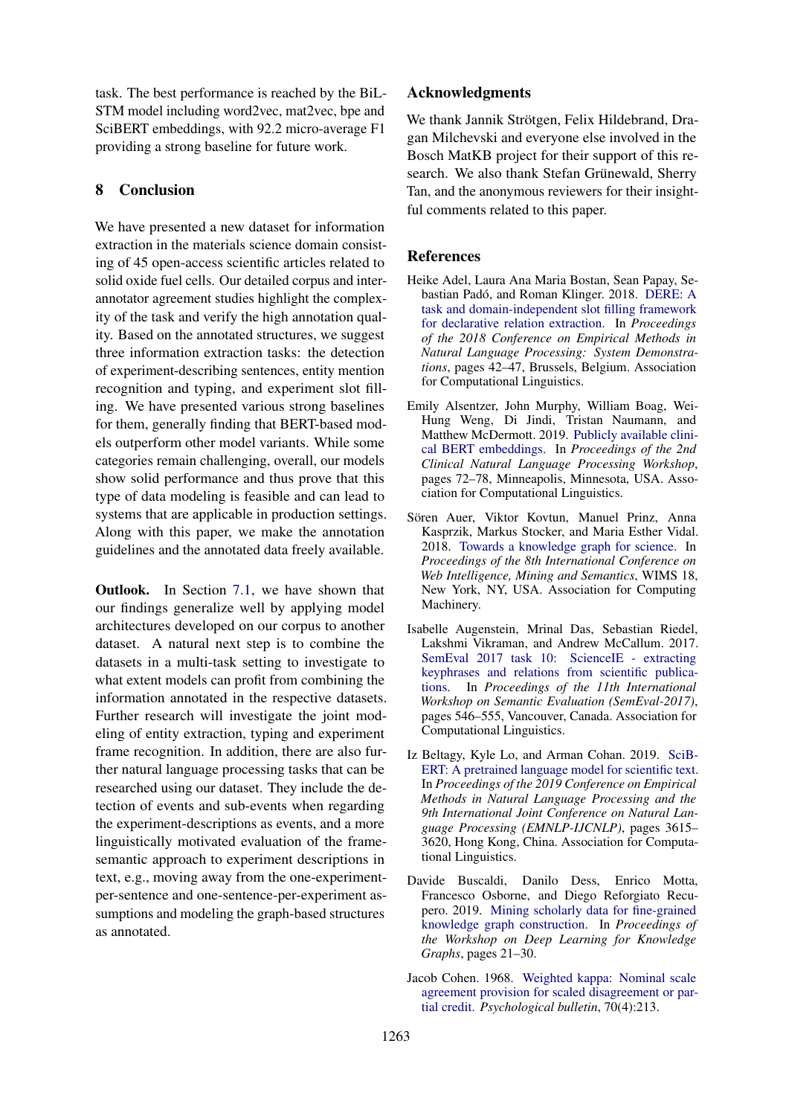task. The best performance is reached by the BiL-STM model including word2vec, mat2vec, bpe and SciBERT embeddings, with 92.2 micro-average F1 providing a strong baseline for future work.

# 8 Conclusion

We have presented a new dataset for information extraction in the materials science domain consisting of 45 open-access scientific articles related to solid oxide fuel cells. Our detailed corpus and interannotator agreement studies highlight the complexity of the task and verify the high annotation quality. Based on the annotated structures, we suggest three information extraction tasks: the detection of experiment-describing sentences, entity mention recognition and typing, and experiment slot filling. We have presented various strong baselines for them, generally finding that BERT-based models outperform other model variants. While some categories remain challenging, overall, our models show solid performance and thus prove that this type of data modeling is feasible and can lead to systems that are applicable in production settings. Along with this paper, we make the annotation guidelines and the annotated data freely available.

**Outlook.** In Section [7.1,](#page-7-0) we have shown that our findings generalize well by applying model architectures developed on our corpus to another dataset. A natural next step is to combine the datasets in a multi-task setting to investigate to what extent models can profit from combining the information annotated in the respective datasets. Further research will investigate the joint modeling of entity extraction, typing and experiment frame recognition. In addition, there are also further natural language processing tasks that can be researched using our dataset. They include the detection of events and sub-events when regarding the experiment-descriptions as events, and a more linguistically motivated evaluation of the framesemantic approach to experiment descriptions in text, e.g., moving away from the one-experimentper-sentence and one-sentence-per-experiment assumptions and modeling the graph-based structures as annotated.

### Acknowledgments

We thank Jannik Strötgen, Felix Hildebrand, Dragan Milchevski and everyone else involved in the Bosch MatKB project for their support of this research. We also thank Stefan Grünewald, Sherry Tan, and the anonymous reviewers for their insightful comments related to this paper.

# References

- <span id="page-8-5"></span>Heike Adel, Laura Ana Maria Bostan, Sean Papay, Se-bastian Padó, and Roman Klinger. 2018. [DERE: A](https://doi.org/10.18653/v1/D18-2008) [task and domain-independent slot filling framework](https://doi.org/10.18653/v1/D18-2008) [for declarative relation extraction.](https://doi.org/10.18653/v1/D18-2008) In *Proceedings of the 2018 Conference on Empirical Methods in Natural Language Processing: System Demonstrations*, pages 42–47, Brussels, Belgium. Association for Computational Linguistics.
- <span id="page-8-3"></span>Emily Alsentzer, John Murphy, William Boag, Wei-Hung Weng, Di Jindi, Tristan Naumann, and Matthew McDermott. 2019. [Publicly available clini](https://doi.org/10.18653/v1/W19-1909)[cal BERT embeddings.](https://doi.org/10.18653/v1/W19-1909) In *Proceedings of the 2nd Clinical Natural Language Processing Workshop*, pages 72–78, Minneapolis, Minnesota, USA. Association for Computational Linguistics.
- <span id="page-8-0"></span>Sören Auer, Viktor Kovtun, Manuel Prinz, Anna Kasprzik, Markus Stocker, and Maria Esther Vidal. 2018. [Towards a knowledge graph for science.](https://doi.org/10.1145/3227609.3227689) In *Proceedings of the 8th International Conference on Web Intelligence, Mining and Semantics*, WIMS 18, New York, NY, USA. Association for Computing Machinery.
- <span id="page-8-1"></span>Isabelle Augenstein, Mrinal Das, Sebastian Riedel, Lakshmi Vikraman, and Andrew McCallum. 2017. [SemEval 2017 task 10: ScienceIE - extracting](https://doi.org/10.18653/v1/S17-2091) [keyphrases and relations from scientific publica](https://doi.org/10.18653/v1/S17-2091)[tions.](https://doi.org/10.18653/v1/S17-2091) In *Proceedings of the 11th International Workshop on Semantic Evaluation (SemEval-2017)*, pages 546–555, Vancouver, Canada. Association for Computational Linguistics.
- <span id="page-8-4"></span>Iz Beltagy, Kyle Lo, and Arman Cohan. 2019. [SciB-](https://doi.org/10.18653/v1/D19-1371)[ERT: A pretrained language model for scientific text.](https://doi.org/10.18653/v1/D19-1371) In *Proceedings of the 2019 Conference on Empirical Methods in Natural Language Processing and the 9th International Joint Conference on Natural Language Processing (EMNLP-IJCNLP)*, pages 3615– 3620, Hong Kong, China. Association for Computational Linguistics.
- <span id="page-8-2"></span>Davide Buscaldi, Danilo Dess, Enrico Motta, Francesco Osborne, and Diego Reforgiato Recupero. 2019. [Mining scholarly data for fine-grained](http://ceur-ws.org/Vol-2377/paper_3.pdf) [knowledge graph construction.](http://ceur-ws.org/Vol-2377/paper_3.pdf) In *Proceedings of the Workshop on Deep Learning for Knowledge Graphs*, pages 21–30.
- <span id="page-8-6"></span>Jacob Cohen. 1968. [Weighted kappa: Nominal scale](https://doi.org/https://doi.org/10.1037/h0026256) [agreement provision for scaled disagreement or par](https://doi.org/https://doi.org/10.1037/h0026256)[tial credit.](https://doi.org/https://doi.org/10.1037/h0026256) *Psychological bulletin*, 70(4):213.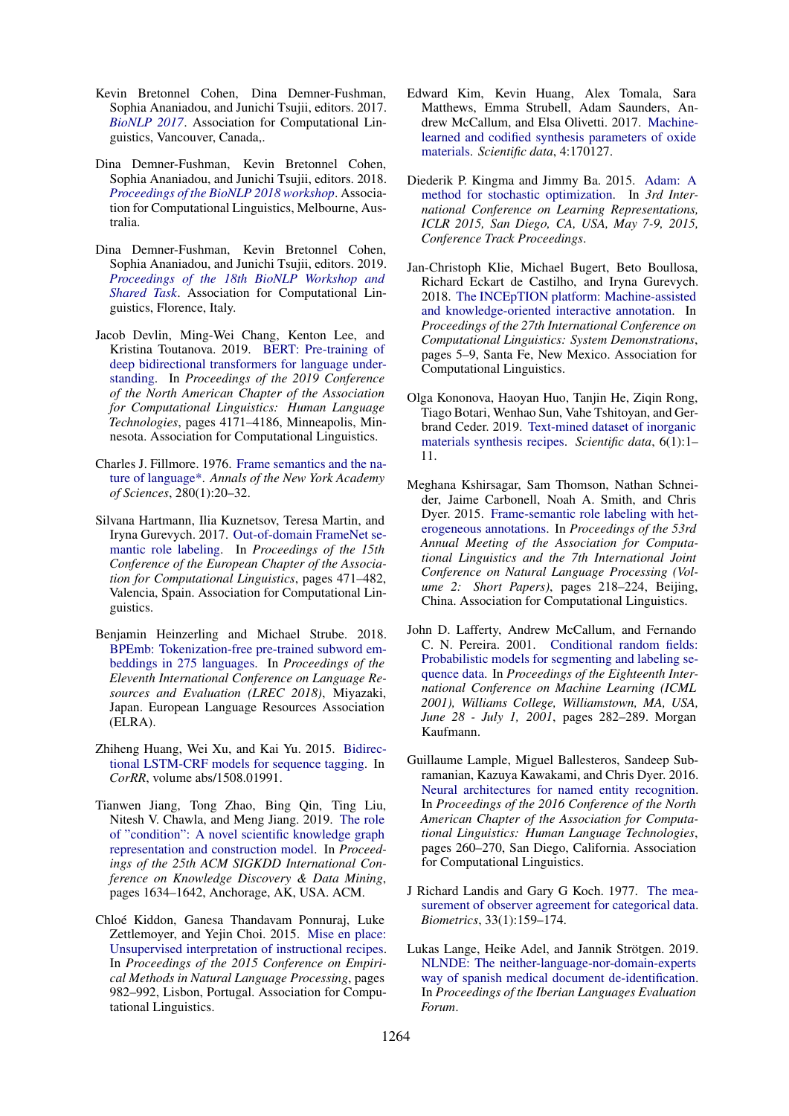- <span id="page-9-0"></span>Kevin Bretonnel Cohen, Dina Demner-Fushman, Sophia Ananiadou, and Junichi Tsujii, editors. 2017. *[BioNLP 2017](https://doi.org/10.18653/v1/W17-23)*. Association for Computational Linguistics, Vancouver, Canada,.
- <span id="page-9-1"></span>Dina Demner-Fushman, Kevin Bretonnel Cohen, Sophia Ananiadou, and Junichi Tsujii, editors. 2018. *[Proceedings of the BioNLP 2018 workshop](https://www.aclweb.org/anthology/W18-2300)*. Association for Computational Linguistics, Melbourne, Australia.
- <span id="page-9-2"></span>Dina Demner-Fushman, Kevin Bretonnel Cohen, Sophia Ananiadou, and Junichi Tsujii, editors. 2019. *[Proceedings of the 18th BioNLP Workshop and](https://www.aclweb.org/anthology/W19-5000) [Shared Task](https://www.aclweb.org/anthology/W19-5000)*. Association for Computational Linguistics, Florence, Italy.
- <span id="page-9-16"></span>Jacob Devlin, Ming-Wei Chang, Kenton Lee, and Kristina Toutanova. 2019. [BERT: Pre-training of](https://doi.org/10.18653/v1/N19-1423) [deep bidirectional transformers for language under](https://doi.org/10.18653/v1/N19-1423)[standing.](https://doi.org/10.18653/v1/N19-1423) In *Proceedings of the 2019 Conference of the North American Chapter of the Association for Computational Linguistics: Human Language Technologies*, pages 4171–4186, Minneapolis, Minnesota. Association for Computational Linguistics.
- <span id="page-9-12"></span>Charles J. Fillmore. 1976. [Frame semantics and the na](https://doi.org/10.1111/j.1749-6632.1976.tb25467.x)[ture of language\\*.](https://doi.org/10.1111/j.1749-6632.1976.tb25467.x) *Annals of the New York Academy of Sciences*, 280(1):20–32.
- <span id="page-9-11"></span>Silvana Hartmann, Ilia Kuznetsov, Teresa Martin, and Iryna Gurevych. 2017. [Out-of-domain FrameNet se](https://www.aclweb.org/anthology/E17-1045)[mantic role labeling.](https://www.aclweb.org/anthology/E17-1045) In *Proceedings of the 15th Conference of the European Chapter of the Association for Computational Linguistics*, pages 471–482, Valencia, Spain. Association for Computational Linguistics.
- <span id="page-9-15"></span>Benjamin Heinzerling and Michael Strube. 2018. [BPEmb: Tokenization-free pre-trained subword em](https://www.aclweb.org/anthology/L18-1473)[beddings in 275 languages.](https://www.aclweb.org/anthology/L18-1473) In *Proceedings of the Eleventh International Conference on Language Resources and Evaluation (LREC 2018)*, Miyazaki, Japan. European Language Resources Association (ELRA).
- <span id="page-9-7"></span>Zhiheng Huang, Wei Xu, and Kai Yu. 2015. [Bidirec](http://arxiv.org/abs/1508.01991)[tional LSTM-CRF models for sequence tagging.](http://arxiv.org/abs/1508.01991) In *CorRR*, volume abs/1508.01991.
- <span id="page-9-3"></span>Tianwen Jiang, Tong Zhao, Bing Qin, Ting Liu, Nitesh V. Chawla, and Meng Jiang. 2019. [The role](https://doi.org/10.1145/3292500.3330942) [of "condition": A novel scientific knowledge graph](https://doi.org/10.1145/3292500.3330942) [representation and construction model.](https://doi.org/10.1145/3292500.3330942) In *Proceedings of the 25th ACM SIGKDD International Conference on Knowledge Discovery & Data Mining*, pages 1634–1642, Anchorage, AK, USA. ACM.
- <span id="page-9-6"></span>Chloe Kiddon, Ganesa Thandavam Ponnuraj, Luke ´ Zettlemoyer, and Yejin Choi. 2015. [Mise en place:](https://doi.org/10.18653/v1/D15-1114) [Unsupervised interpretation of instructional recipes.](https://doi.org/10.18653/v1/D15-1114) In *Proceedings of the 2015 Conference on Empirical Methods in Natural Language Processing*, pages 982–992, Lisbon, Portugal. Association for Computational Linguistics.
- <span id="page-9-5"></span>Edward Kim, Kevin Huang, Alex Tomala, Sara Matthews, Emma Strubell, Adam Saunders, Andrew McCallum, and Elsa Olivetti. 2017. [Machine](https://doi.org/10.1038/sdata.2017.127)[learned and codified synthesis parameters of oxide](https://doi.org/10.1038/sdata.2017.127) [materials.](https://doi.org/10.1038/sdata.2017.127) *Scientific data*, 4:170127.
- <span id="page-9-18"></span>Diederik P. Kingma and Jimmy Ba. 2015. [Adam: A](http://arxiv.org/abs/1412.6980) [method for stochastic optimization.](http://arxiv.org/abs/1412.6980) In *3rd International Conference on Learning Representations, ICLR 2015, San Diego, CA, USA, May 7-9, 2015, Conference Track Proceedings*.
- <span id="page-9-13"></span>Jan-Christoph Klie, Michael Bugert, Beto Boullosa, Richard Eckart de Castilho, and Iryna Gurevych. 2018. [The INCEpTION platform: Machine-assisted](https://www.aclweb.org/anthology/C18-2002) [and knowledge-oriented interactive annotation.](https://www.aclweb.org/anthology/C18-2002) In *Proceedings of the 27th International Conference on Computational Linguistics: System Demonstrations*, pages 5–9, Santa Fe, New Mexico. Association for Computational Linguistics.
- <span id="page-9-4"></span>Olga Kononova, Haoyan Huo, Tanjin He, Ziqin Rong, Tiago Botari, Wenhao Sun, Vahe Tshitoyan, and Gerbrand Ceder. 2019. [Text-mined dataset of inorganic](https://doi.org/10.1038/s41597-019-0224-1) [materials synthesis recipes.](https://doi.org/10.1038/s41597-019-0224-1) *Scientific data*, 6(1):1– 11.
- <span id="page-9-10"></span>Meghana Kshirsagar, Sam Thomson, Nathan Schneider, Jaime Carbonell, Noah A. Smith, and Chris Dyer. 2015. [Frame-semantic role labeling with het](https://doi.org/10.3115/v1/P15-2036)[erogeneous annotations.](https://doi.org/10.3115/v1/P15-2036) In *Proceedings of the 53rd Annual Meeting of the Association for Computational Linguistics and the 7th International Joint Conference on Natural Language Processing (Volume 2: Short Papers)*, pages 218–224, Beijing, China. Association for Computational Linguistics.
- <span id="page-9-17"></span>John D. Lafferty, Andrew McCallum, and Fernando C. N. Pereira. 2001. [Conditional random fields:](https://doi.org/10.5555/645530.655813) [Probabilistic models for segmenting and labeling se](https://doi.org/10.5555/645530.655813)[quence data.](https://doi.org/10.5555/645530.655813) In *Proceedings of the Eighteenth International Conference on Machine Learning (ICML 2001), Williams College, Williamstown, MA, USA, June 28 - July 1, 2001*, pages 282–289. Morgan Kaufmann.
- <span id="page-9-8"></span>Guillaume Lample, Miguel Ballesteros, Sandeep Subramanian, Kazuya Kawakami, and Chris Dyer. 2016. [Neural architectures for named entity recognition.](https://doi.org/10.18653/v1/N16-1030) In *Proceedings of the 2016 Conference of the North American Chapter of the Association for Computational Linguistics: Human Language Technologies*, pages 260–270, San Diego, California. Association for Computational Linguistics.
- <span id="page-9-14"></span>J Richard Landis and Gary G Koch. 1977. [The mea](https://doi.org/10.2307/2529310)[surement of observer agreement for categorical data.](https://doi.org/10.2307/2529310) *Biometrics*, 33(1):159–174.
- <span id="page-9-9"></span>Lukas Lange, Heike Adel, and Jannik Strötgen. 2019. [NLNDE: The neither-language-nor-domain-experts](http://ceur-ws.org/Vol-2421/MEDDOCAN_paper_5.pdf) [way of spanish medical document de-identification.](http://ceur-ws.org/Vol-2421/MEDDOCAN_paper_5.pdf) In *Proceedings of the Iberian Languages Evaluation Forum*.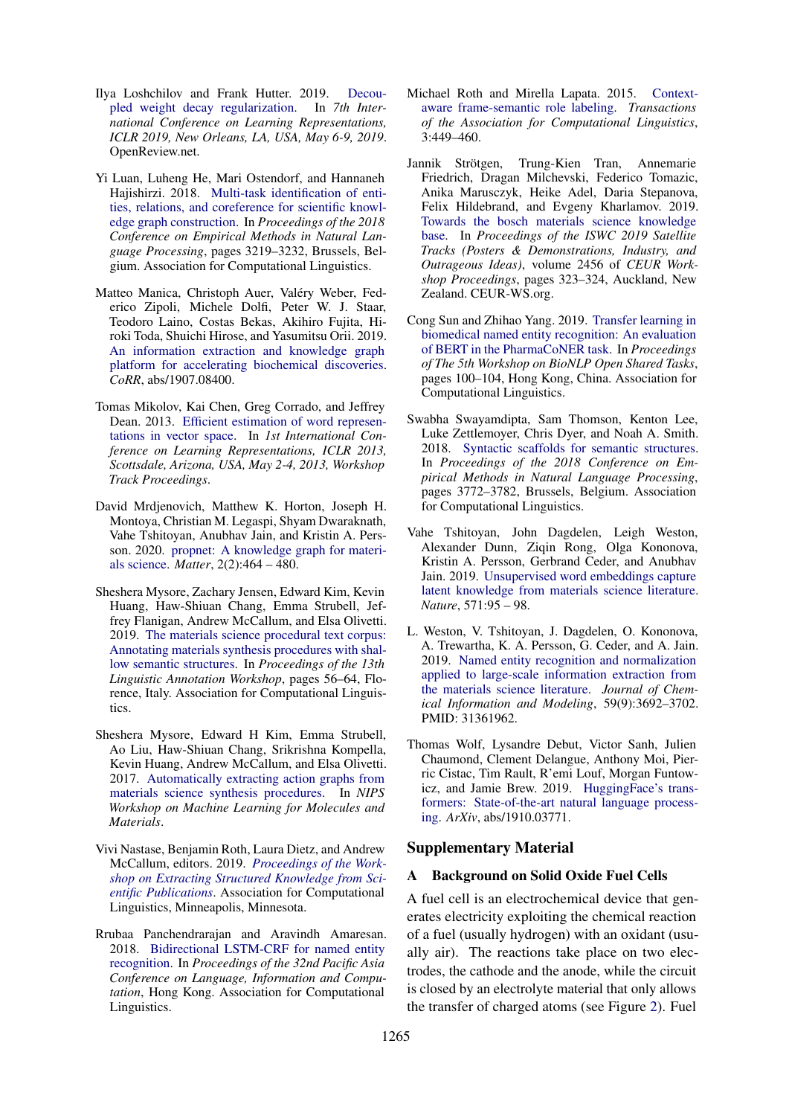- <span id="page-10-15"></span>Ilya Loshchilov and Frank Hutter. 2019. [Decou](https://openreview.net/forum?id=Bkg6RiCqY7)[pled weight decay regularization.](https://openreview.net/forum?id=Bkg6RiCqY7) In *7th International Conference on Learning Representations, ICLR 2019, New Orleans, LA, USA, May 6-9, 2019*. OpenReview.net.
- <span id="page-10-6"></span>Yi Luan, Luheng He, Mari Ostendorf, and Hannaneh Hajishirzi. 2018. [Multi-task identification of enti](https://doi.org/10.18653/v1/D18-1360)[ties, relations, and coreference for scientific knowl](https://doi.org/10.18653/v1/D18-1360)[edge graph construction.](https://doi.org/10.18653/v1/D18-1360) In *Proceedings of the 2018 Conference on Empirical Methods in Natural Language Processing*, pages 3219–3232, Brussels, Belgium. Association for Computational Linguistics.
- <span id="page-10-0"></span>Matteo Manica, Christoph Auer, Valéry Weber, Federico Zipoli, Michele Dolfi, Peter W. J. Staar, Teodoro Laino, Costas Bekas, Akihiro Fujita, Hiroki Toda, Shuichi Hirose, and Yasumitsu Orii. 2019. [An information extraction and knowledge graph](http://arxiv.org/abs/1907.08400) [platform for accelerating biochemical discoveries.](http://arxiv.org/abs/1907.08400) *CoRR*, abs/1907.08400.
- <span id="page-10-9"></span>Tomas Mikolov, Kai Chen, Greg Corrado, and Jeffrey Dean. 2013. [Efficient estimation of word represen](http://arxiv.org/abs/1301.3781)[tations in vector space.](http://arxiv.org/abs/1301.3781) In *1st International Conference on Learning Representations, ICLR 2013, Scottsdale, Arizona, USA, May 2-4, 2013, Workshop Track Proceedings*.
- <span id="page-10-2"></span>David Mrdjenovich, Matthew K. Horton, Joseph H. Montoya, Christian M. Legaspi, Shyam Dwaraknath, Vahe Tshitoyan, Anubhav Jain, and Kristin A. Persson. 2020. [propnet: A knowledge graph for materi](https://doi.org/https://doi.org/10.1016/j.matt.2019.11.013)[als science.](https://doi.org/https://doi.org/10.1016/j.matt.2019.11.013) *Matter*, 2(2):464 – 480.
- <span id="page-10-5"></span>Sheshera Mysore, Zachary Jensen, Edward Kim, Kevin Huang, Haw-Shiuan Chang, Emma Strubell, Jeffrey Flanigan, Andrew McCallum, and Elsa Olivetti. 2019. [The materials science procedural text corpus:](https://doi.org/10.18653/v1/W19-4007) [Annotating materials synthesis procedures with shal](https://doi.org/10.18653/v1/W19-4007)[low semantic structures.](https://doi.org/10.18653/v1/W19-4007) In *Proceedings of the 13th Linguistic Annotation Workshop*, pages 56–64, Florence, Italy. Association for Computational Linguistics.
- <span id="page-10-4"></span>Sheshera Mysore, Edward H Kim, Emma Strubell, Ao Liu, Haw-Shiuan Chang, Srikrishna Kompella, Kevin Huang, Andrew McCallum, and Elsa Olivetti. 2017. [Automatically extracting action graphs from](https://arxiv.org/abs/1711.06872) [materials science synthesis procedures.](https://arxiv.org/abs/1711.06872) In *NIPS Workshop on Machine Learning for Molecules and Materials*.
- <span id="page-10-3"></span>Vivi Nastase, Benjamin Roth, Laura Dietz, and Andrew McCallum, editors. 2019. *[Proceedings of the Work](https://www.aclweb.org/anthology/W19-2600)[shop on Extracting Structured Knowledge from Sci](https://www.aclweb.org/anthology/W19-2600)[entific Publications](https://www.aclweb.org/anthology/W19-2600)*. Association for Computational Linguistics, Minneapolis, Minnesota.
- <span id="page-10-11"></span>Rrubaa Panchendrarajan and Aravindh Amaresan. 2018. [Bidirectional LSTM-CRF for named entity](https://www.aclweb.org/anthology/Y18-1061) [recognition.](https://www.aclweb.org/anthology/Y18-1061) In *Proceedings of the 32nd Pacific Asia Conference on Language, Information and Computation*, Hong Kong. Association for Computational Linguistics.
- <span id="page-10-12"></span>Michael Roth and Mirella Lapata. 2015. [Context](https://doi.org/10.1162/tacl_a_00150)[aware frame-semantic role labeling.](https://doi.org/10.1162/tacl_a_00150) *Transactions of the Association for Computational Linguistics*, 3:449–460.
- <span id="page-10-1"></span>Jannik Strötgen, Trung-Kien Tran, Annemarie Friedrich, Dragan Milchevski, Federico Tomazic, Anika Marusczyk, Heike Adel, Daria Stepanova, Felix Hildebrand, and Evgeny Kharlamov. 2019. [Towards the bosch materials science knowledge](http://ceur-ws.org/Vol-2456/paper89.pdf) [base.](http://ceur-ws.org/Vol-2456/paper89.pdf) In *Proceedings of the ISWC 2019 Satellite Tracks (Posters & Demonstrations, Industry, and Outrageous Ideas)*, volume 2456 of *CEUR Workshop Proceedings*, pages 323–324, Auckland, New Zealand. CEUR-WS.org.
- <span id="page-10-10"></span>Cong Sun and Zhihao Yang. 2019. [Transfer learning in](https://doi.org/10.18653/v1/D19-5715) [biomedical named entity recognition: An evaluation](https://doi.org/10.18653/v1/D19-5715) [of BERT in the PharmaCoNER task.](https://doi.org/10.18653/v1/D19-5715) In *Proceedings of The 5th Workshop on BioNLP Open Shared Tasks*, pages 100–104, Hong Kong, China. Association for Computational Linguistics.
- <span id="page-10-13"></span>Swabha Swayamdipta, Sam Thomson, Kenton Lee, Luke Zettlemoyer, Chris Dyer, and Noah A. Smith. 2018. [Syntactic scaffolds for semantic structures.](https://doi.org/10.18653/v1/D18-1412) In *Proceedings of the 2018 Conference on Empirical Methods in Natural Language Processing*, pages 3772–3782, Brussels, Belgium. Association for Computational Linguistics.
- <span id="page-10-8"></span>Vahe Tshitoyan, John Dagdelen, Leigh Weston, Alexander Dunn, Ziqin Rong, Olga Kononova, Kristin A. Persson, Gerbrand Ceder, and Anubhav Jain. 2019. [Unsupervised word embeddings capture](https://doi.org/10.1038/s41586-019-1335-8) [latent knowledge from materials science literature.](https://doi.org/10.1038/s41586-019-1335-8) *Nature*, 571:95 – 98.
- <span id="page-10-7"></span>L. Weston, V. Tshitoyan, J. Dagdelen, O. Kononova, A. Trewartha, K. A. Persson, G. Ceder, and A. Jain. 2019. [Named entity recognition and normalization](https://doi.org/10.1021/acs.jcim.9b00470) [applied to large-scale information extraction from](https://doi.org/10.1021/acs.jcim.9b00470) [the materials science literature.](https://doi.org/10.1021/acs.jcim.9b00470) *Journal of Chemical Information and Modeling*, 59(9):3692–3702. PMID: 31361962.
- <span id="page-10-14"></span>Thomas Wolf, Lysandre Debut, Victor Sanh, Julien Chaumond, Clement Delangue, Anthony Moi, Pierric Cistac, Tim Rault, R'emi Louf, Morgan Funtowicz, and Jamie Brew. 2019. [HuggingFace's trans](https://arxiv.org/abs/1910.03771)[formers: State-of-the-art natural language process](https://arxiv.org/abs/1910.03771)[ing.](https://arxiv.org/abs/1910.03771) *ArXiv*, abs/1910.03771.

#### Supplementary Material

#### A Background on Solid Oxide Fuel Cells

A fuel cell is an electrochemical device that generates electricity exploiting the chemical reaction of a fuel (usually hydrogen) with an oxidant (usually air). The reactions take place on two electrodes, the cathode and the anode, while the circuit is closed by an electrolyte material that only allows the transfer of charged atoms (see Figure [2\)](#page-11-2). Fuel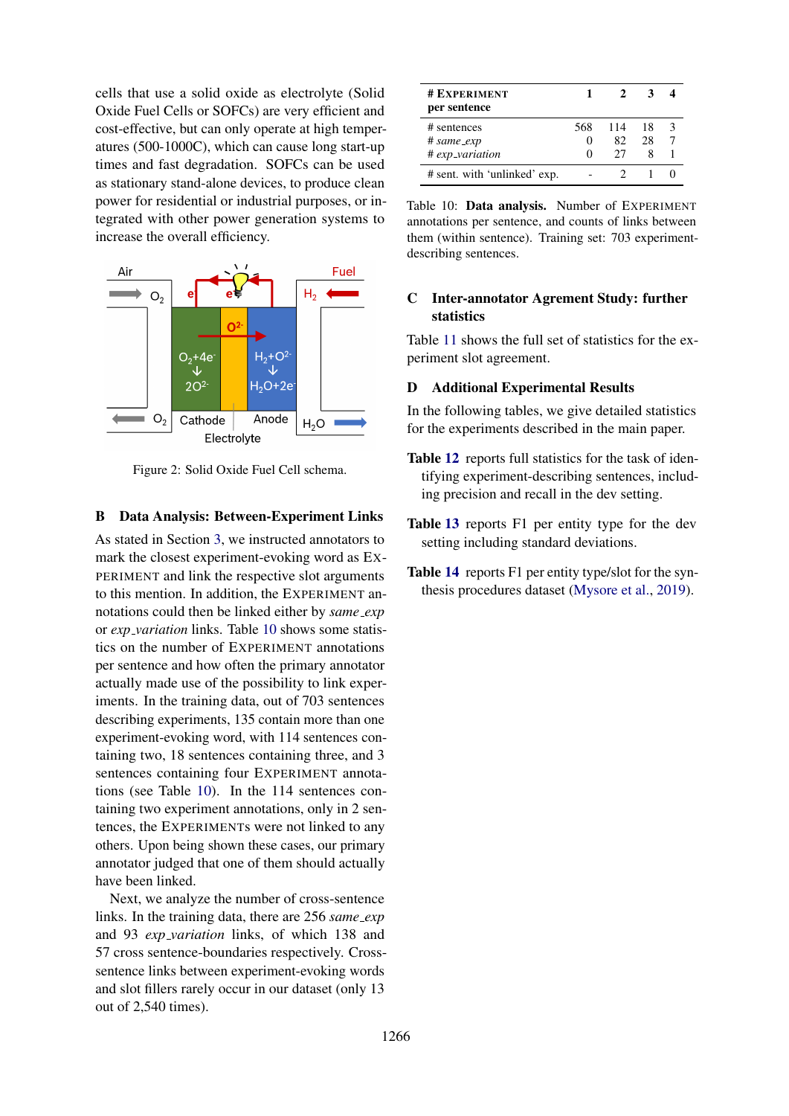cells that use a solid oxide as electrolyte (Solid Oxide Fuel Cells or SOFCs) are very efficient and cost-effective, but can only operate at high temperatures (500-1000C), which can cause long start-up times and fast degradation. SOFCs can be used as stationary stand-alone devices, to produce clean power for residential or industrial purposes, or integrated with other power generation systems to increase the overall efficiency.

<span id="page-11-2"></span>

Figure 2: Solid Oxide Fuel Cell schema.

### <span id="page-11-0"></span>B Data Analysis: Between-Experiment Links

As stated in Section [3,](#page-2-0) we instructed annotators to mark the closest experiment-evoking word as EX-PERIMENT and link the respective slot arguments to this mention. In addition, the EXPERIMENT annotations could then be linked either by *same exp* or *exp variation* links. Table [10](#page-11-3) shows some statistics on the number of EXPERIMENT annotations per sentence and how often the primary annotator actually made use of the possibility to link experiments. In the training data, out of 703 sentences describing experiments, 135 contain more than one experiment-evoking word, with 114 sentences containing two, 18 sentences containing three, and 3 sentences containing four EXPERIMENT annotations (see Table [10\)](#page-11-3). In the 114 sentences containing two experiment annotations, only in 2 sentences, the EXPERIMENTs were not linked to any others. Upon being shown these cases, our primary annotator judged that one of them should actually have been linked.

Next, we analyze the number of cross-sentence links. In the training data, there are 256 *same exp* and 93 *exp variation* links, of which 138 and 57 cross sentence-boundaries respectively. Crosssentence links between experiment-evoking words and slot fillers rarely occur in our dataset (only 13 out of 2,540 times).

<span id="page-11-3"></span>

| # EXPERIMENT<br>per sentence |     |     |    |  |
|------------------------------|-----|-----|----|--|
| # sentences                  | 568 | 114 | 18 |  |
| # same_exp                   | 0   | 82  | 28 |  |
| # exp_variation              | 0   | 27  |    |  |
| # sent. with 'unlinked' exp. |     |     |    |  |

Table 10: Data analysis. Number of EXPERIMENT annotations per sentence, and counts of links between them (within sentence). Training set: 703 experimentdescribing sentences.

# <span id="page-11-1"></span>C Inter-annotator Agrement Study: further statistics

Table [11](#page-12-0) shows the full set of statistics for the experiment slot agreement.

#### D Additional Experimental Results

In the following tables, we give detailed statistics for the experiments described in the main paper.

- Table [12](#page-12-1) reports full statistics for the task of identifying experiment-describing sentences, including precision and recall in the dev setting.
- Table [13](#page-13-0) reports F1 per entity type for the dev setting including standard deviations.
- Table [14](#page-13-1) reports F1 per entity type/slot for the synthesis procedures dataset [\(Mysore et al.,](#page-10-5) [2019\)](#page-10-5).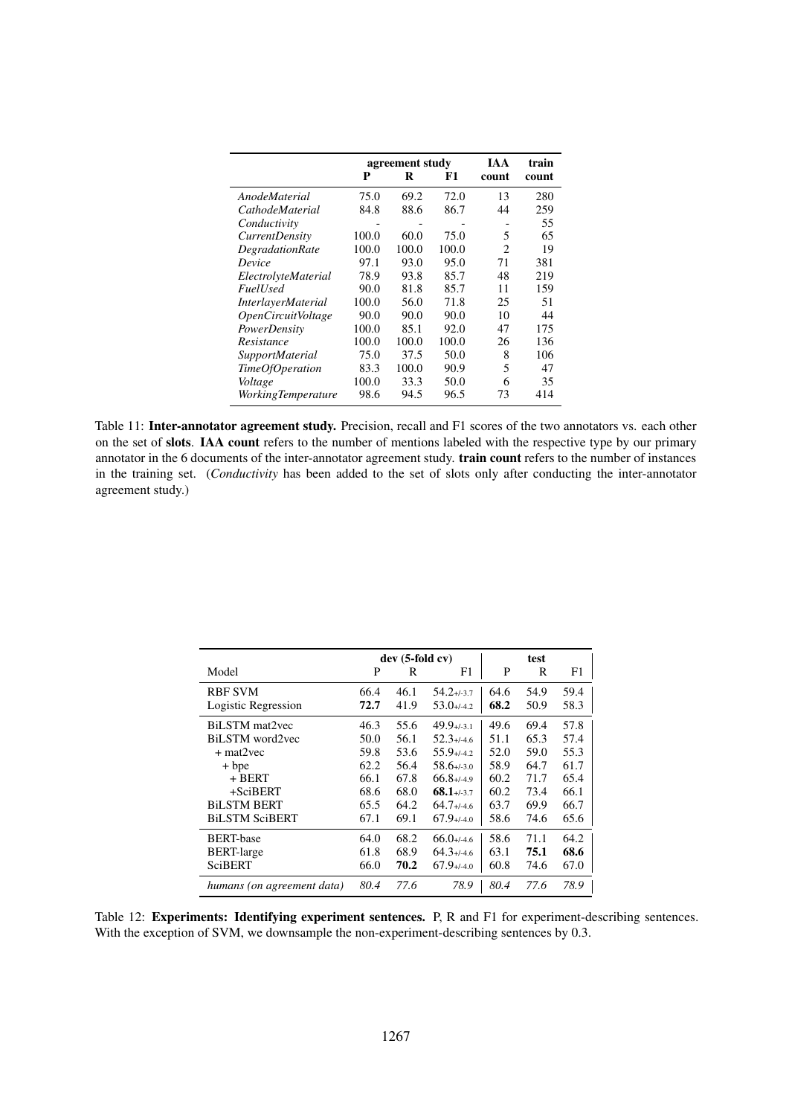<span id="page-12-0"></span>

|                                  |       | agreement study |       | IA A                        | train |
|----------------------------------|-------|-----------------|-------|-----------------------------|-------|
|                                  | P     | R               | F1    | count                       | count |
| AnodeMaterial                    | 75.0  | 69.2            | 72.0  | 13                          | 280   |
| <i>CathodeMaterial</i>           | 84.8  | 88.6            | 86.7  | 44                          | 259   |
| Conductivity                     |       |                 |       |                             | 55    |
| <i>CurrentDensity</i>            | 100.0 | 60.0            | 75.0  | 5                           | 65    |
| <b>DegradationRate</b>           | 100.0 | 100.0           | 100.0 | $\mathcal{D}_{\mathcal{L}}$ | 19    |
| Device                           | 97.1  | 93.0            | 95.0  | 71                          | 381   |
| ElectrolyteMaterial              | 78.9  | 93.8            | 85.7  | 48                          | 219   |
| <b>FuelUsed</b>                  | 90.0  | 81.8            | 85.7  | 11                          | 159   |
| <i>InterlayerMaterial</i>        | 100.0 | 56.0            | 71.8  | 25                          | 51    |
| <i><b>OpenCircuitVoltage</b></i> | 90.0  | 90.0            | 90.0  | 10                          | 44    |
| PowerDensity                     | 100.0 | 85.1            | 92.0  | 47                          | 175   |
| Resistance                       | 100.0 | 100.0           | 100.0 | 26                          | 136   |
| <b>SupportMaterial</b>           | 75.0  | 37.5            | 50.0  | 8                           | 106   |
| TimeOfOperation                  | 83.3  | 100.0           | 90.9  | 5                           | 47    |
| Voltage                          | 100.0 | 33.3            | 50.0  | 6                           | 35    |
| <b>WorkingTemperature</b>        | 98.6  | 94.5            | 96.5  | 73                          | 414   |

Table 11: Inter-annotator agreement study. Precision, recall and F1 scores of the two annotators vs. each other on the set of slots. IAA count refers to the number of mentions labeled with the respective type by our primary annotator in the 6 documents of the inter-annotator agreement study. train count refers to the number of instances in the training set. (*Conductivity* has been added to the set of slots only after conducting the inter-annotator agreement study.)

<span id="page-12-1"></span>

|                            |      | $dev(5-fold cv)$ |                 |      | test |      |
|----------------------------|------|------------------|-----------------|------|------|------|
| Model                      | P    | R                | F1              | P    | R    | F1   |
| <b>RBF SVM</b>             | 66.4 | 46.1             | $54.2 + 3.7$    | 64.6 | 54.9 | 59.4 |
| Logistic Regression        | 72.7 | 41.9             | $53.0+/-4.2$    | 68.2 | 50.9 | 58.3 |
| BiLSTM mat2vec             | 46.3 | 55.6             | $49.9+/-3.1$    | 49.6 | 69.4 | 57.8 |
| BiLSTM word2yec            | 50.0 | 56.1             | $52.3 + 4.6$    | 51.1 | 65.3 | 57.4 |
| $+ mat2vec$                | 59.8 | 53.6             | $55.9 + 42$     | 52.0 | 59.0 | 55.3 |
| $+$ bpe                    | 62.2 | 56.4             | $58.6 + 3.0$    | 58.9 | 64.7 | 61.7 |
| + BERT                     | 66.1 | 67.8             | $66.8 + 4.9$    | 60.2 | 71.7 | 65.4 |
| $+SciBERT$                 | 68.6 | 68.0             | $68.1 + (-3.7)$ | 60.2 | 73.4 | 66.1 |
| <b>BILSTM BERT</b>         | 65.5 | 64.2             | $64.7 + 4.6$    | 63.7 | 69.9 | 66.7 |
| <b>BiLSTM SciBERT</b>      | 67.1 | 69.1             | $67.9 + (-4.0)$ | 58.6 | 74.6 | 65.6 |
| <b>BERT-base</b>           | 64.0 | 68.2             | $66.0+/-4.6$    | 58.6 | 71.1 | 64.2 |
| <b>BERT-large</b>          | 61.8 | 68.9             | $64.3 + 4.6$    | 63.1 | 75.1 | 68.6 |
| <b>SciBERT</b>             | 66.0 | 70.2             | $67.9 + (-4.0)$ | 60.8 | 74.6 | 67.0 |
| humans (on agreement data) | 80.4 | 77.6             | 78.9            | 80.4 | 77.6 | 78.9 |

Table 12: Experiments: Identifying experiment sentences. P, R and F1 for experiment-describing sentences. With the exception of SVM, we downsample the non-experiment-describing sentences by 0.3.